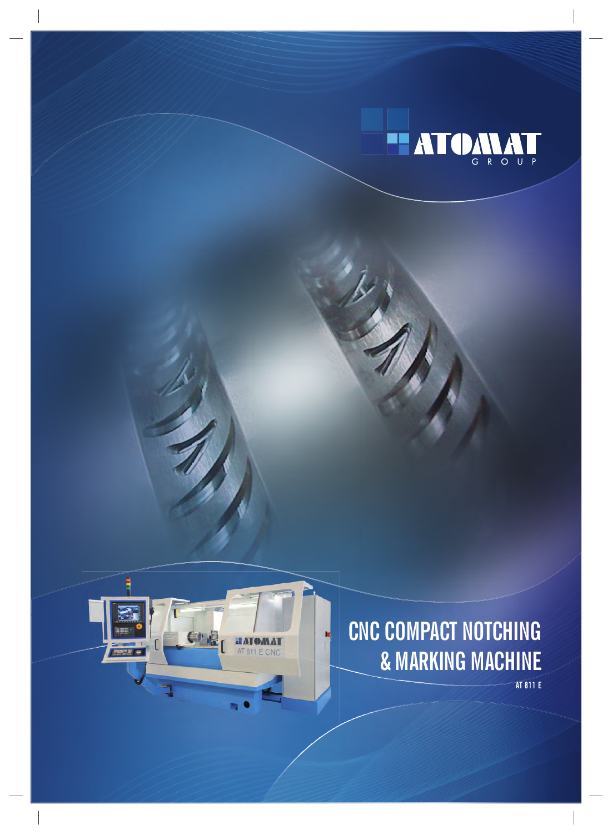



## CNC COMPACT NOTCHING & MARKING MACHINE

**AT 811 E**